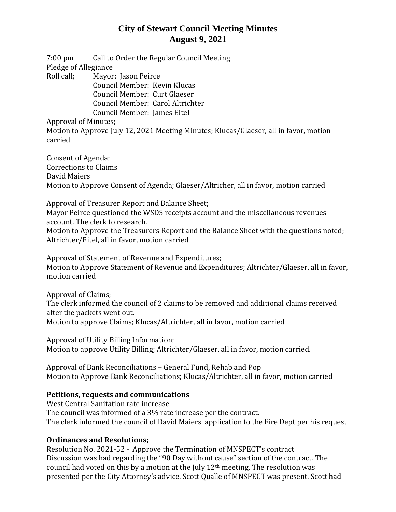# **City of Stewart Council Meeting Minutes August 9, 2021**

7:00 pm Call to Order the Regular Council Meeting Pledge of Allegiance

Roll call; Mayor: Jason Peirce

Council Member: Kevin Klucas Council Member: Curt Glaeser Council Member: Carol Altrichter Council Member: James Eitel

Approval of Minutes;

Motion to Approve July 12, 2021 Meeting Minutes; Klucas/Glaeser, all in favor, motion carried

Consent of Agenda; Corrections to Claims David Maiers Motion to Approve Consent of Agenda; Glaeser/Altricher, all in favor, motion carried

Approval of Treasurer Report and Balance Sheet;

Mayor Peirce questioned the WSDS receipts account and the miscellaneous revenues account. The clerk to research.

Motion to Approve the Treasurers Report and the Balance Sheet with the questions noted; Altrichter/Eitel, all in favor, motion carried

Approval of Statement of Revenue and Expenditures; Motion to Approve Statement of Revenue and Expenditures; Altrichter/Glaeser, all in favor, motion carried

Approval of Claims;

The clerk informed the council of 2 claims to be removed and additional claims received after the packets went out. Motion to approve Claims; Klucas/Altrichter, all in favor, motion carried

Approval of Utility Billing Information; Motion to approve Utility Billing; Altrichter/Glaeser, all in favor, motion carried.

Approval of Bank Reconciliations – General Fund, Rehab and Pop Motion to Approve Bank Reconciliations; Klucas/Altrichter, all in favor, motion carried

#### **Petitions, requests and communications**

West Central Sanitation rate increase The council was informed of a 3% rate increase per the contract. The clerk informed the council of David Maiers application to the Fire Dept per his request

### **Ordinances and Resolutions;**

Resolution No. 2021-52 - Approve the Termination of MNSPECT's contract Discussion was had regarding the "90 Day without cause" section of the contract. The council had voted on this by a motion at the July 12th meeting. The resolution was presented per the City Attorney's advice. Scott Qualle of MNSPECT was present. Scott had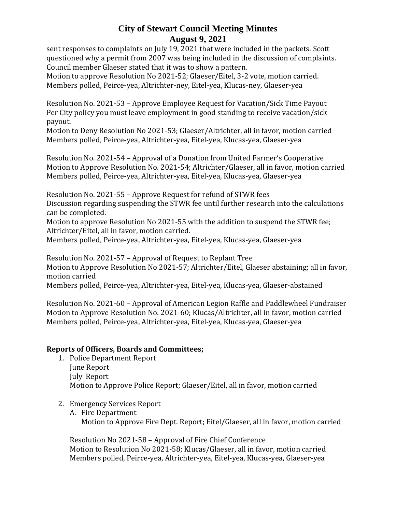## **City of Stewart Council Meeting Minutes August 9, 2021**

sent responses to complaints on July 19, 2021 that were included in the packets. Scott questioned why a permit from 2007 was being included in the discussion of complaints. Council member Glaeser stated that it was to show a pattern.

Motion to approve Resolution No 2021-52; Glaeser/Eitel, 3-2 vote, motion carried. Members polled, Peirce-yea, Altrichter-ney, Eitel-yea, Klucas-ney, Glaeser-yea

Resolution No. 2021-53 – Approve Employee Request for Vacation/Sick Time Payout Per City policy you must leave employment in good standing to receive vacation/sick payout.

Motion to Deny Resolution No 2021-53; Glaeser/Altrichter, all in favor, motion carried Members polled, Peirce-yea, Altrichter-yea, Eitel-yea, Klucas-yea, Glaeser-yea

Resolution No. 2021-54 – Approval of a Donation from United Farmer's Cooperative Motion to Approve Resolution No. 2021-54; Altrichter/Glaeser, all in favor, motion carried Members polled, Peirce-yea, Altrichter-yea, Eitel-yea, Klucas-yea, Glaeser-yea

Resolution No. 2021-55 – Approve Request for refund of STWR fees

Discussion regarding suspending the STWR fee until further research into the calculations can be completed.

Motion to approve Resolution No 2021-55 with the addition to suspend the STWR fee; Altrichter/Eitel, all in favor, motion carried.

Members polled, Peirce-yea, Altrichter-yea, Eitel-yea, Klucas-yea, Glaeser-yea

Resolution No. 2021-57 – Approval of Request to Replant Tree Motion to Approve Resolution No 2021-57; Altrichter/Eitel, Glaeser abstaining; all in favor, motion carried

Members polled, Peirce-yea, Altrichter-yea, Eitel-yea, Klucas-yea, Glaeser-abstained

Resolution No. 2021-60 – Approval of American Legion Raffle and Paddlewheel Fundraiser Motion to Approve Resolution No. 2021-60; Klucas/Altrichter, all in favor, motion carried Members polled, Peirce-yea, Altrichter-yea, Eitel-yea, Klucas-yea, Glaeser-yea

### **Reports of Officers, Boards and Committees;**

- 1. Police Department Report June Report July Report Motion to Approve Police Report; Glaeser/Eitel, all in favor, motion carried
- 2. Emergency Services Report
	- A. Fire Department Motion to Approve Fire Dept. Report; Eitel/Glaeser, all in favor, motion carried

Resolution No 2021-58 – Approval of Fire Chief Conference Motion to Resolution No 2021-58; Klucas/Glaeser, all in favor, motion carried Members polled, Peirce-yea, Altrichter-yea, Eitel-yea, Klucas-yea, Glaeser-yea